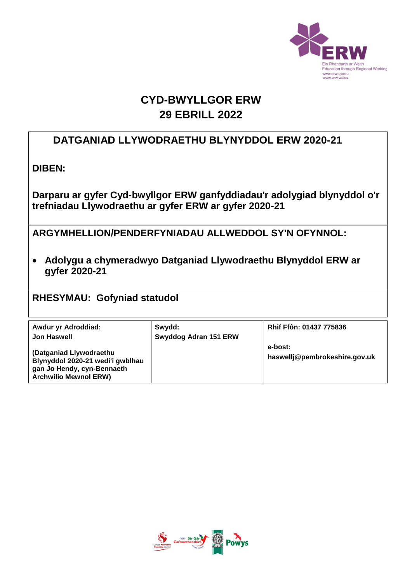

# **CYD-BWYLLGOR ERW 29 EBRILL 2022**

# **DATGANIAD LLYWODRAETHU BLYNYDDOL ERW 2020-21**

**DIBEN:** 

**Darparu ar gyfer Cyd-bwyllgor ERW ganfyddiadau'r adolygiad blynyddol o'r trefniadau Llywodraethu ar gyfer ERW ar gyfer 2020-21**

**ARGYMHELLION/PENDERFYNIADAU ALLWEDDOL SY'N OFYNNOL:**

 **Adolygu a chymeradwyo Datganiad Llywodraethu Blynyddol ERW ar gyfer 2020-21**

**RHESYMAU: Gofyniad statudol**

| Awdur yr Adroddiad:                                                                                                       | Swydd:                | <b>Rhif Ffôn: 01437 775836</b>           |
|---------------------------------------------------------------------------------------------------------------------------|-----------------------|------------------------------------------|
| <b>Jon Haswell</b>                                                                                                        | Swyddog Adran 151 ERW |                                          |
| (Datganiad Llywodraethu<br>Blynyddol 2020-21 wedi'i gwblhau<br>gan Jo Hendy, cyn-Bennaeth<br><b>Archwilio Mewnol ERW)</b> |                       | e-bost:<br>haswellj@pembrokeshire.gov.uk |